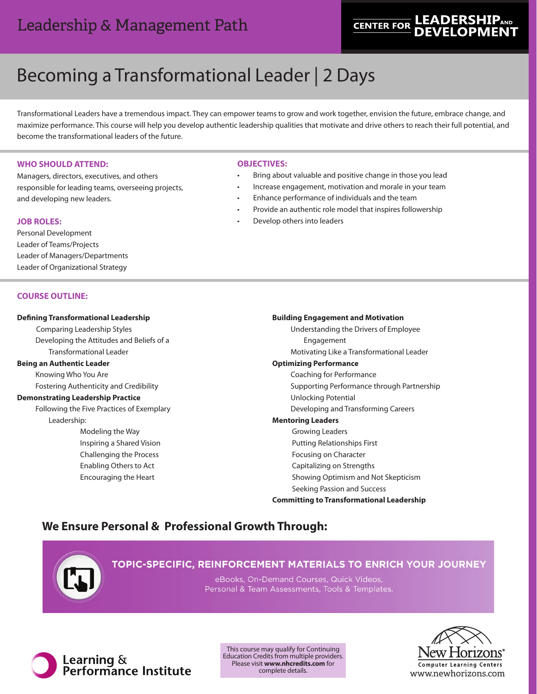# Leadership & Management Path

# **LEADERSHIPAND CENTER FOR**

# Becoming a Transformational Leader | 2 Days

Transformational Leaders have a tremendous impact. They can empower teams to grow and work together, envision the future, embrace change, and maximize performance. This course will help you develop authentic leadership qualities that motivate and drive others to reach their full potential, and become the transformational leaders of the future.

# **WHO SHOULD ATTEND:**

Managers, directors, executives, and others responsible for leading teams, overseeing projects, and developing new leaders.

# **JOB ROLES:**

Personal Development Leader of Teams/Projects Leader of Managers/Departments Leader of Organizational Strategy

# **COURSE OUTLINE:**

# **Defining Transformational Leadership**

Comparing Leadership Styles Developing the Attitudes and Beliefs of a Transformational Leader

# **Being an Authentic Leader**

Knowing Who You Are

Fostering Authenticity and Credibility

# **Demonstrating Leadership Practice**

 Following the Five Practices of Exemplary Leadership:

> Modeling the Way Inspiring a Shared Vision Challenging the Process Enabling Others to Act Encouraging the Heart

# **OBJECTIVES:**

- Bring about valuable and positive change in those you lead
- Increase engagement, motivation and morale in your team
- Enhance performance of individuals and the team
- Provide an authentic role model that inspires followership
- Develop others into leaders

# **Building Engagement and Motivation**

 Understanding the Drivers of Employee Engagement

Motivating Like a Transformational Leader

# **Optimizing Performance**

Coaching for Performance

Supporting Performance through Partnership

- Unlocking Potential
- Developing and Transforming Careers

# **Mentoring Leaders**

- Growing Leaders
- Putting Relationships First
- Focusing on Character
- Capitalizing on Strengths
- Showing Optimism and Not Skepticism

Seeking Passion and Success

# **Committing to Transformational Leadership**

# **We Ensure Personal & Professional Growth Through:**



TOPIC-SPECIFIC, REINFORCEMENT MATERIALS TO ENRICH YOUR JOURNEY

eBooks, On-Demand Courses, Quick Videos, Personal & Team Assessments, Tools & Templates.



This course may qualify for Continuing Education Credits from multiple providers. Please visit **www.nhcredits.com** for complete details.